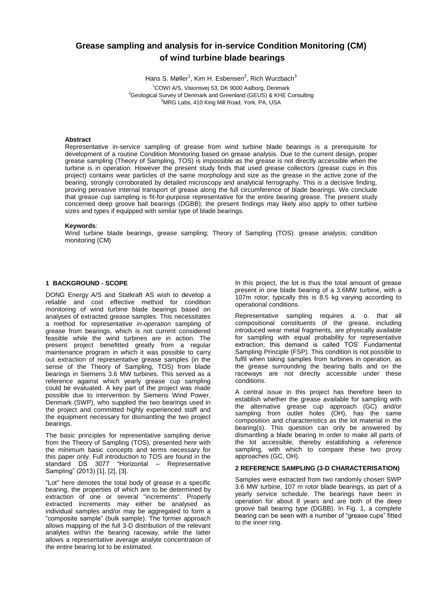# **Grease sampling and analysis for in-service Condition Monitoring (CM) of wind turbine blade bearings**

Hans S. Møller<sup>1</sup>, Kim H. Esbensen<sup>2</sup>, Rich Wurzbach<sup>3</sup>

<sup>1</sup>COWI A/S, Visionsvej 53, DK 9000 Aalborg, Denmark <sup>2</sup>Geological Survey of Denmark and Greenland (GEUS) & KHE Consulting <sup>3</sup>MRG Labs, 410 King Mill Road, York, PA, USA

#### **Abstract**

Representative in-service sampling of grease from wind turbine blade bearings is a prerequisite for development of a routine Condition Monitoring based on grease analysis. Due to the current design, proper grease sampling (Theory of Sampling, TOS) is impossible as the grease is not directly accessible when the turbine is in operation. However the present study finds that used grease collectors (grease cups in this project) contains wear particles of the same morphology and size as the grease in the active zone of the bearing, strongly corroborated by detailed microscopy and analytical ferrography. This is a decisive finding, proving pervasive internal transport of grease along the full circumference of blade bearings. We conclude that grease cup sampling is fit-for-purpose representative for the entire bearing grease. The present study concerned deep groove ball bearings (DGBB); the present findings may likely also apply to other turbine sizes and types if equipped with similar type of blade bearings.

#### **Keywords**:

Wind turbine blade bearings, grease sampling; Theory of Sampling (TOS): grease analysis; condition monitoring (CM)

#### **1 BACKGROUND - SCOPE**

DONG Energy A/S and Statkraft AS wish to develop a reliable and cost effective method for condition monitoring of wind turbine blade bearings based on analyses of extracted grease samples. This necessitates a method for representative *in-operation* sampling of grease from bearings, which is not current considered feasible while the wind turbines are in action. The present project benefitted greatly from a regular maintenance program in which it was possible to carry out extraction of representative grease samples (in the sense of the Theory of Sampling, TOS) from blade bearings in Siemens 3.6 MW turbines. This served as a reference against which yearly grease cup sampling could be evaluated. A key part of the project was made possible due to intervention by Siemens Wind Power, Denmark (SWP), who supplied the two bearings used in the project and committed highly experienced staff and the equipment necessary for dismantling the two project bearings.

The basic principles for representative sampling derive from the Theory of Sampling (TOS), presented here with the minimum basic concepts and terms necessary for this paper only. Full introduction to TOS are found in the standard DS 3077 "Horizontal – Representative Sampling" (2013) [1], [2], [3].

"Lot" here denotes the total body of grease in a specific bearing, the properties of which are to be determined by extraction of one or several "increments". Properly extracted increments may either be analysed as individual samples and/or may be aggregated to form a "composite sample" (bulk sample). The former approach allows mapping of the full 3-D distribution of the relevant analytes within the bearing raceway, while the latter allows a representative average analyte concentration of the entire bearing lot to be estimated.

In this project, the lot is thus the total amount of grease present in one blade bearing of a 3.6MW turbine, with a 107m rotor; typically this is 8.5 kg varying according to operational conditions.

Representative sampling requires a. o. that all compositional constituents of the grease, including introduced wear metal fragments, are physically available for sampling with equal probability for representative extraction; this demand is called TOS' Fundamental Sampling Principle (FSP). This condition is not possible to fulfil when taking samples from turbines in operation*,* as the grease surrounding the bearing balls and on the raceways are not directly accessible under these conditions.

A central issue in this project has therefore been to establish whether the grease available for sampling with the alternative grease cup approach (GC) and/or sampling from outlet holes (OH), has the same composition and characteristics as the lot material in the bearing(s). This question can only be answered by dismantling a blade bearing in order to make all parts of the lot accessible, thereby establishing a reference sampling, with which to compare these two proxy approaches (GC, OH).

## **2 REFERENCE SAMPLING (3-D CHARACTERISATION)**

Samples were extracted from two randomly chosen SWP 3.6 MW turbine, 107 m rotor blade bearings, as part of a yearly service schedule. The bearings have been in operation for about 8 years and are both of the deep groove ball bearing type (DGBB). In Fig. 1, a complete bearing can be seen with a number of "grease cups" fitted to the inner ring.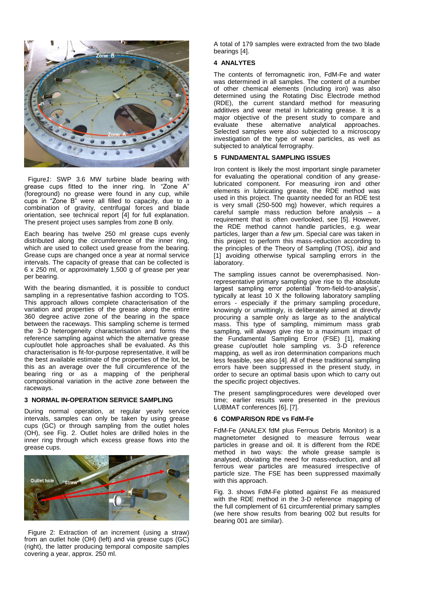

 Figure*1*: SWP 3.6 MW turbine blade bearing with grease cups fitted to the inner ring. In "Zone A" (foreground) no grease were found in any cup, while cups in "Zone B" were all filled to capacity, due to a combination of gravity, centrifugal forces and blade orientation, see technical report [4] for full explanation. The present project uses samples from zone B only.

Each bearing has twelve 250 ml grease cups evenly distributed along the circumference of the inner ring, which are used to collect used grease from the bearing. Grease cups are changed once a year at normal service intervals. The capacity of grease that can be collected is 6 x 250 ml, or approximately 1,500 g of grease per year per bearing.

With the bearing dismantled, it is possible to conduct sampling in a representative fashion according to TOS. This approach allows complete characterisation of the variation and properties of the grease along the entire 360 degree active zone of the bearing in the space between the raceways. This sampling scheme is termed the 3-D heterogeneity characterisation and forms the reference sampling against which the alternative grease cup/outlet hole approaches shall be evaluated. As this characterisation is fit-for-purpose representative, it will be the best available estimate of the properties of the lot, be this as an average over the full circumference of the bearing ring or as a mapping of the peripheral compositional variation in the active zone between the raceways.

## **3 NORMAL IN-OPERATION SERVICE SAMPLING**

During normal operation, at regular yearly service intervals, samples can only be taken by using grease cups (GC) or through sampling from the outlet holes (OH), see Fig. 2. Outlet holes are drilled holes in the inner ring through which excess grease flows into the grease cups.



 Figure 2: Extraction of an increment (using a straw) from an outlet hole (OH) (left) and via grease cups (GC) (right), the latter producing temporal composite samples covering a year, approx. 250 ml.

A total of 179 samples were extracted from the two blade bearings [4].

### **4 ANALYTES**

The contents of ferromagnetic iron, FdM-Fe and water was determined in all samples. The content of a number of other chemical elements (including iron) was also determined using the Rotating Disc Electrode method (RDE), the current standard method for measuring additives and wear metal in lubricating grease. It is a major objective of the present study to compare and evaluate these alternative analytical approaches. Selected samples were also subjected to a microscopy investigation of the type of wear particles, as well as subjected to analytical ferrography.

#### **5 FUNDAMENTAL SAMPLING ISSUES**

Iron content is likely the most important single parameter for evaluating the operational condition of any greaselubricated component. For measuring iron and other elements in lubricating grease, the RDE method was used in this project. The quantity needed for an RDE test is very small (250-500 mg) however, which requires a careful sample mass reduction before analysis – a requirement that is often overlooked, see [5]. However, the RDE method cannot handle particles, e.g. wear particles, larger than *a few* um. Special care was taken in this project to perform this mass-reduction according to the principles of the Theory of Sampling (TOS), *ibid* and [1] avoiding otherwise typical sampling errors in the laboratory.

The sampling issues cannot be overemphasised. Nonrepresentative primary sampling give rise to the absolute largest sampling error potential 'from-field-to-analysis', typically at least 10 X the following laboratory sampling errors - especially if the primary sampling procedure, knowingly or unwittingly, is deliberately aimed at direvtly procuring a sample only as large as to the analytical mass. This type of sampling, mimimum mass grab sampling, will always give rise to a maximum impact of the Fundamental Sampling Error (FSE) [1], making grease cup/outlet hole sampling vs. 3-D reference mapping, as well as iron determination comparions much less feasible, see also [4]. All of these traditional sampling errors have been suppressed in the present study, in order to secure an optimal basis upon which to carry out the specific project objectives.

The present samplingprocedures were developed over time; earlier results were presented in the previous LUBMAT conferences [6], [7].

#### **6 COMPARISON RDE vs FdM-Fe**

FdM-Fe (ANALEX fdM plus Ferrous Debris Monitor) is a magnetometer designed to measure ferrous wear particles in grease and oil. It is different from the RDE method in two ways: the whole grease sample is analysed, obviating the need for mass-reduction, and all ferrous wear particles are measured irrespective of particle size. The FSE has been suppressed maximally with this approach.

Fig. 3. shows FdM-Fe plotted against Fe as measured with the RDE method in the 3-D reference mapping of the full complement of 61 circumferential primary samples (we here show results from bearing 002 but results for bearing 001 are similar).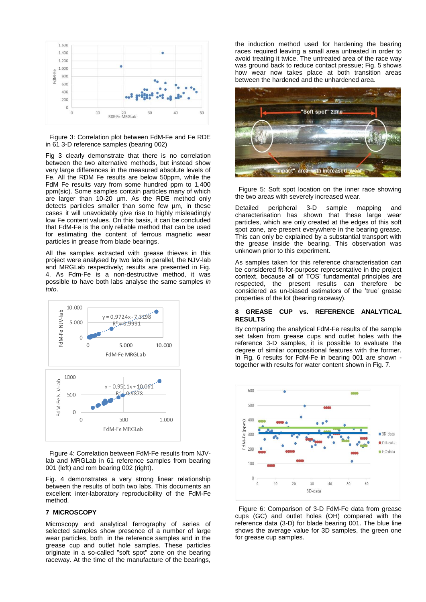

 Figure 3: Correlation plot between FdM-Fe and Fe RDE in 61 3-D reference samples (bearing 002)

Fig 3 clearly demonstrate that there is no correlation between the two alternative methods, but instead show very large differences in the measured absolute levels of Fe. All the RDM Fe results are below 50ppm, while the FdM Fe results vary from some hundred ppm to 1,400 ppm(sic). Some samples contain particles many of which are larger than 10-20 µm. As the RDE method only detects particles smaller than some few um, in these cases it will unavoidably give rise to highly misleadingly low Fe content values. On this basis, it can be concluded that FdM-Fe is the only reliable method that can be used for estimating the content of ferrous magnetic wear particles in grease from blade bearings.

All the samples extracted with grease thieves in this project were analysed by two labs in parallel, the NJV-lab and MRGLab respectively; results are presented in Fig. 4. As Fdm-Fe is a non-destructive method, it was possible to have both labs analyse the same samples *in toto*.



 Figure 4: Correlation between FdM-Fe results from NJVlab and MRGLab in 61 reference samples from bearing 001 (left) and rom bearing 002 (right).

Fig. 4 demonstrates a very strong linear relationship between the results of both two labs. This documents an excellent inter-laboratory reproducibility of the FdM-Fe method.

## **7 MICROSCOPY**

Microscopy and analytical ferrography of series of selected samples show presence of a number of large wear particles, both in the reference samples and in the grease cup and outlet hole samples. These particles originate in a so-called "soft spot" zone on the bearing raceway. At the time of the manufacture of the bearings,

the induction method used for hardening the bearing races required leaving a small area untreated in order to avoid treating it twice. The untreated area of the race way was ground back to reduce contact pressue; Fig. 5 shows how wear now takes place at both transition areas between the hardened and the unhardened area.



 Figure 5: Soft spot location on the inner race showing the two areas with severely increased wear.

Detailed peripheral 3-D sample mapping and characterisation has shown that these large wear particles, which are only created at the edges of this soft spot zone, are present everywhere in the bearing grease. This can only be explained by a substantial transport with the grease inside the bearing. This observation was unknown prior to this experiment.

As samples taken for this reference characterisation can be considered fit-for-purpose representative in the project context, because all of TOS' fundamental principles are respected, the present results can therefore be considered as un-biased estimators of the 'true' grease properties of the lot (bearing raceway).

#### **8 GREASE CUP vs. REFERENCE ANALYTICAL RESULTS**

By comparing the analytical FdM-Fe results of the sample set taken from grease cups and outlet holes with the reference 3-D samples, it is possible to evaluate the degree of similar compositional features with the former. In Fig. 6 results for FdM-Fe in bearing 001 are shown together with results for water content shown in Fig. 7.



 Figure 6: Comparison of 3-D FdM-Fe data from grease cups (GC) and outlet holes (OH) compared with the reference data (3-D) for blade bearing 001. The blue line shows the average value for 3D samples, the green one for grease cup samples.